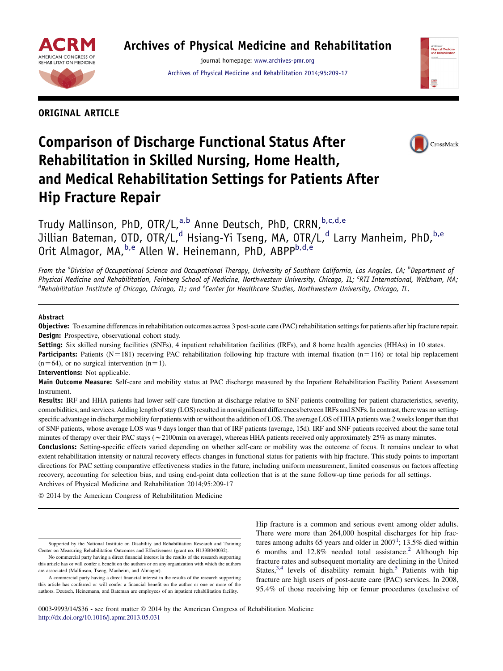

# Archives of Physical Medicine and Rehabilitation

journal homepage: [www.archives-pmr.org](http://www.archives-pmr.org) [Archives of Physical Medicine and Rehabilitation 2014;95:209-17](http://dx.doi.org/10.1016/j.apmr.2013.05.031)



ORIGINAL ARTICLE

# Comparison of Discharge Functional Status After Rehabilitation in Skilled Nursing, Home Health, and Medical Rehabilitation Settings for Patients After Hip Fracture Repair



Trudy Mallinson, PhD, OTR/L,<sup>a,b</sup> Anne Deutsch, PhD, CRRN,<sup>b,c,d,e</sup> Jillian Bateman, OTD, OTR/L,<sup>d</sup> Hsiang-Yi Tseng, MA, OTR/L,<sup>d</sup> Larry Manheim, PhD,<sup>b,e</sup> Orit Almagor, MA, b,e Allen W. Heinemann, PhD, ABPP<sup>b,d,e</sup>

From the <sup>a</sup>Division of Occupational Science and Occupational Therapy, University of Southern California, Los Angeles, CA; <sup>b</sup>Department of Physical Medicine and Rehabilitation, Feinberg School of Medicine, Northwestern University, Chicago, IL; <sup>c</sup>RTI International, Waltham, MA;<br><sup>d</sup>Pohabilitation Institute of Chicago, Chicago, IL; and <sup>e</sup>Conter for Healthcare Rehabilitation Institute of Chicago, Chicago, IL; and <sup>e</sup>Center for Healthcare Studies, Northwestern University, Chicago, IL.

#### Abstract

Objective: To examine differences in rehabilitation outcomes across 3 post-acute care (PAC) rehabilitation settings for patients after hip fracture repair. Design: Prospective, observational cohort study.

Setting: Six skilled nursing facilities (SNFs), 4 inpatient rehabilitation facilities (IRFs), and 8 home health agencies (HHAs) in 10 states. Participants: Patients  $(N=181)$  receiving PAC rehabilitation following hip fracture with internal fixation (n=116) or total hip replacement  $(n=64)$ , or no surgical intervention  $(n=1)$ .

Interventions: Not applicable.

Main Outcome Measure: Self-care and mobility status at PAC discharge measured by the Inpatient Rehabilitation Facility Patient Assessment Instrument.

Results: IRF and HHA patients had lower self-care function at discharge relative to SNF patients controlling for patient characteristics, severity, comorbidities, and services. Adding length of stay (LOS) resulted in nonsignificant differences between IRFs and SNFs. In contrast, there was no settingspecific advantage in discharge mobility for patients with or without the addition of LOS. The average LOS of HHA patients was 2 weeks longer than that of SNF patients, whose average LOS was 9 days longer than that of IRF patients (average, 15d). IRF and SNF patients received about the same total minutes of therapy over their PAC stays ( $\sim$ 2100min on average), whereas HHA patients received only approximately 25% as many minutes.

Conclusions: Setting-specific effects varied depending on whether self-care or mobility was the outcome of focus. It remains unclear to what extent rehabilitation intensity or natural recovery effects changes in functional status for patients with hip fracture. This study points to important directions for PAC setting comparative effectiveness studies in the future, including uniform measurement, limited consensus on factors affecting recovery, accounting for selection bias, and using end-point data collection that is at the same follow-up time periods for all settings. Archives of Physical Medicine and Rehabilitation 2014;95:209-17

 $©$  2014 by the American Congress of Rehabilitation Medicine

No commercial party having a direct financial interest in the results of the research supporting this article has or will confer a benefit on the authors or on any organization with which the authors are associated (Mallinson, Tseng, Manheim, and Almagor).

A commercial party having a direct financial interest in the results of the research supporting this article has conferred or will confer a financial benefit on the author or one or more of the authors. Deutsch, Heinemann, and Bateman are employees of an inpatient rehabilitation facility.

Hip fracture is a common and serious event among older adults. There were more than 264,000 hospital discharges for hip fractures among adults 65 years and older in  $2007^1$  $2007^1$ ; 13.5% died within 6 months and 12.8% needed total assistance.[2](#page-7-0) Although hip fracture rates and subsequent mortality are declining in the United States,  $3,4$  levels of disability remain high.<sup>5</sup> Patients with hip fracture are high users of post-acute care (PAC) services. In 2008, 95.4% of those receiving hip or femur procedures (exclusive of

0003-9993/14/\$36 - see front matter © 2014 by the American Congress of Rehabilitation Medicine <http://dx.doi.org/10.1016/j.apmr.2013.05.031>

Supported by the National Institute on Disability and Rehabilitation Research and Training Center on Measuring Rehabilitation Outcomes and Effectiveness (grant no. H133B040032).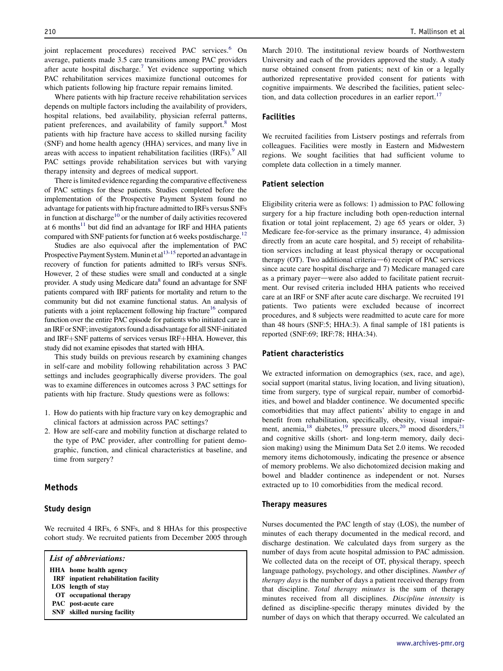joint replacement procedures) received PAC services.<sup>[6](#page-7-0)</sup> On average, patients made 3.5 care transitions among PAC providers after acute hospital discharge.<sup>7</sup> Yet evidence supporting which PAC rehabilitation services maximize functional outcomes for which patients following hip fracture repair remains limited.

Where patients with hip fracture receive rehabilitation services depends on multiple factors including the availability of providers, hospital relations, bed availability, physician referral patterns, patient preferences, and availability of family support.<sup>[8](#page-7-0)</sup> Most patients with hip fracture have access to skilled nursing facility (SNF) and home health agency (HHA) services, and many live in areas with access to inpatient rehabilitation facilities (IRFs).<sup>[9](#page-7-0)</sup> All PAC settings provide rehabilitation services but with varying therapy intensity and degrees of medical support.

There is limited evidence regarding the comparative effectiveness of PAC settings for these patients. Studies completed before the implementation of the Prospective Payment System found no advantage for patients with hip fracture admitted to IRFs versus SNFs in function at discharge<sup>[10](#page-7-0)</sup> or the number of daily activities recovered at 6 months<sup>[11](#page-7-0)</sup> but did find an advantage for IRF and HHA patients compared with SNF patients for function at 6 weeks postdischarge.<sup>12</sup>

Studies are also equivocal after the implementation of PAC Prospective Payment System. Munin et al<sup>[13-15](#page-7-0)</sup> reported an advantage in recovery of function for patients admitted to IRFs versus SNFs. However, 2 of these studies were small and conducted at a single provider. A study using Medicare data<sup>8</sup> found an advantage for SNF patients compared with IRF patients for mortality and return to the community but did not examine functional status. An analysis of patients with a joint replacement following hip fracture<sup>16</sup> compared function over the entire PAC episode for patients who initiated care in an IRF or SNF; investigators found a disadvantage for all SNF-initiated and IRF+SNF patterns of services versus IRF+HHA. However, this study did not examine episodes that started with HHA.

This study builds on previous research by examining changes in self-care and mobility following rehabilitation across 3 PAC settings and includes geographically diverse providers. The goal was to examine differences in outcomes across 3 PAC settings for patients with hip fracture. Study questions were as follows:

- 1. How do patients with hip fracture vary on key demographic and clinical factors at admission across PAC settings?
- 2. How are self-care and mobility function at discharge related to the type of PAC provider, after controlling for patient demographic, function, and clinical characteristics at baseline, and time from surgery?

#### Methods

#### Study design

We recruited 4 IRFs, 6 SNFs, and 8 HHAs for this prospective cohort study. We recruited patients from December 2005 through

List of abbreviations: HHA home health agency IRF inpatient rehabilitation facility LOS length of stay OT occupational therapy PAC post-acute care SNF skilled nursing facility

March 2010. The institutional review boards of Northwestern University and each of the providers approved the study. A study nurse obtained consent from patients; next of kin or a legally authorized representative provided consent for patients with cognitive impairments. We described the facilities, patient selec-tion, and data collection procedures in an earlier report.<sup>[17](#page-7-0)</sup>

#### Facilities

We recruited facilities from Listserv postings and referrals from colleagues. Facilities were mostly in Eastern and Midwestern regions. We sought facilities that had sufficient volume to complete data collection in a timely manner.

#### Patient selection

Eligibility criteria were as follows: 1) admission to PAC following surgery for a hip fracture including both open-reduction internal fixation or total joint replacement, 2) age 65 years or older, 3) Medicare fee-for-service as the primary insurance, 4) admission directly from an acute care hospital, and 5) receipt of rehabilitation services including at least physical therapy or occupational therapy (OT). Two additional criteria $-6$ ) receipt of PAC services since acute care hospital discharge and 7) Medicare managed care as a primary payer—were also added to facilitate patient recruitment. Our revised criteria included HHA patients who received care at an IRF or SNF after acute care discharge. We recruited 191 patients. Two patients were excluded because of incorrect procedures, and 8 subjects were readmitted to acute care for more than 48 hours (SNF:5; HHA:3). A final sample of 181 patients is reported (SNF:69; IRF:78; HHA:34).

#### Patient characteristics

We extracted information on demographics (sex, race, and age), social support (marital status, living location, and living situation), time from surgery, type of surgical repair, number of comorbidities, and bowel and bladder continence. We documented specific comorbidities that may affect patients' ability to engage in and benefit from rehabilitation, specifically, obesity, visual impair-ment, anemia,<sup>[18](#page-7-0)</sup> diabetes,<sup>[19](#page-7-0)</sup> pressure ulcers,<sup>20</sup> mood disorders,<sup>[21](#page-7-0)</sup> and cognitive skills (short- and long-term memory, daily decision making) using the Minimum Data Set 2.0 items. We recoded memory items dichotomously, indicating the presence or absence of memory problems. We also dichotomized decision making and bowel and bladder continence as independent or not. Nurses extracted up to 10 comorbidities from the medical record.

#### Therapy measures

Nurses documented the PAC length of stay (LOS), the number of minutes of each therapy documented in the medical record, and discharge destination. We calculated days from surgery as the number of days from acute hospital admission to PAC admission. We collected data on the receipt of OT, physical therapy, speech language pathology, psychology, and other disciplines. Number of therapy days is the number of days a patient received therapy from that discipline. Total therapy minutes is the sum of therapy minutes received from all disciplines. Discipline intensity is defined as discipline-specific therapy minutes divided by the number of days on which that therapy occurred. We calculated an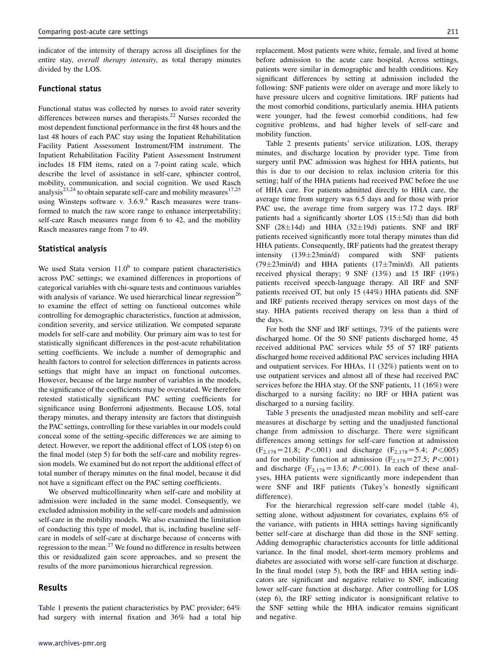indicator of the intensity of therapy across all disciplines for the entire stay, *overall therapy intensity*, as total therapy minutes divided by the LOS.

#### Functional status

Functional status was collected by nurses to avoid rater severity differences between nurses and therapists.<sup>[22](#page-7-0)</sup> Nurses recorded the most dependent functional performance in the first 48 hours and the last 48 hours of each PAC stay using the Inpatient Rehabilitation Facility Patient Assessment Instrument/FIM instrument. The Inpatient Rehabilitation Facility Patient Assessment Instrument includes 18 FIM items, rated on a 7-point rating scale, which describe the level of assistance in self-care, sphincter control, mobility, communication, and social cognition. We used Rasch analysis<sup>[23,24](#page-7-0)</sup> to obtain separate self-care and mobility measures<sup>[17,25](#page-7-0)</sup> using Winsteps software v.  $3.6.9<sup>a</sup>$  Rasch measures were transformed to match the raw score range to enhance interpretability; self-care Rasch measures range from 6 to 42, and the mobility Rasch measures range from 7 to 49.

#### Statistical analysis

We used Stata version  $11.0<sup>b</sup>$  to compare patient characteristics across PAC settings; we examined differences in proportions of categorical variables with chi-square tests and continuous variables with analysis of variance. We used hierarchical linear regression<sup>[26](#page-7-0)</sup> to examine the effect of setting on functional outcomes while controlling for demographic characteristics, function at admission, condition severity, and service utilization. We computed separate models for self-care and mobility. Our primary aim was to test for statistically significant differences in the post-acute rehabilitation setting coefficients. We include a number of demographic and health factors to control for selection differences in patients across settings that might have an impact on functional outcomes. However, because of the large number of variables in the models, the significance of the coefficients may be overstated. We therefore retested statistically significant PAC setting coefficients for significance using Bonferroni adjustments. Because LOS, total therapy minutes, and therapy intensity are factors that distinguish the PAC settings, controlling for these variables in our models could conceal some of the setting-specific differences we are aiming to detect. However, we report the additional effect of LOS (step 6) on the final model (step 5) for both the self-care and mobility regression models. We examined but do not report the additional effect of total number of therapy minutes on the final model, because it did not have a significant effect on the PAC setting coefficients.

We observed multicollinearity when self-care and mobility at admission were included in the same model. Consequently, we excluded admission mobility in the self-care models and admission self-care in the mobility models. We also examined the limitation of conducting this type of model, that is, including baseline selfcare in models of self-care at discharge because of concerns with regression to the mean.<sup>[27](#page-8-0)</sup> We found no difference in results between this or residualized gain score approaches, and so present the results of the more parsimonious hierarchical regression.

#### Results

[Table 1](#page-3-0) presents the patient characteristics by PAC provider; 64% had surgery with internal fixation and 36% had a total hip replacement. Most patients were white, female, and lived at home before admission to the acute care hospital. Across settings, patients were similar in demographic and health conditions. Key significant differences by setting at admission included the following: SNF patients were older on average and more likely to have pressure ulcers and cognitive limitations. IRF patients had the most comorbid conditions, particularly anemia. HHA patients were younger, had the fewest comorbid conditions, had few cognitive problems, and had higher levels of self-care and mobility function.

[Table 2](#page-4-0) presents patients' service utilization, LOS, therapy minutes, and discharge location by provider type. Time from surgery until PAC admission was highest for HHA patients, but this is due to our decision to relax inclusion criteria for this setting; half of the HHA patients had received PAC before the use of HHA care. For patients admitted directly to HHA care, the average time from surgery was 6.5 days and for those with prior PAC use, the average time from surgery was 17.2 days. IRF patients had a significantly shorter  $LOS(15\pm5d)$  than did both SNF  $(28\pm 14d)$  and HHA  $(32\pm 19d)$  patients. SNF and IRF patients received significantly more total therapy minutes than did HHA patients. Consequently, IRF patients had the greatest therapy intensity (139±23min/d) compared with SNF patients  $(79\pm23\text{min/d})$  and HHA patients  $(17\pm7\text{min/d})$ . All patients received physical therapy; 9 SNF (13%) and 15 IRF (19%) patients received speech-language therapy. All IRF and SNF patients received OT, but only 15 (44%) HHA patients did. SNF and IRF patients received therapy services on most days of the stay. HHA patients received therapy on less than a third of the days.

For both the SNF and IRF settings, 73% of the patients were discharged home. Of the 50 SNF patients discharged home, 45 received additional PAC services while 55 of 57 IRF patients discharged home received additional PAC services including HHA and outpatient services. For HHAs, 11 (32%) patients went on to use outpatient services and almost all of these had received PAC services before the HHA stay. Of the SNF patients, 11 (16%) were discharged to a nursing facility; no IRF or HHA patient was discharged to a nursing facility.

[Table 3](#page-5-0) presents the unadjusted mean mobility and self-care measures at discharge by setting and the unadjusted functional change from admission to discharge. There were significant differences among settings for self-care function at admission  $(F_{2,178}=21.8; P<.001)$  and discharge  $(F_{2,178}=5.4; P<.005)$ and for mobility function at admission ( $F_{2,178}$ =27.5; P<.001) and discharge ( $F_{2,178}$ =13.6; P<.001). In each of these analyses, HHA patients were significantly more independent than were SNF and IRF patients (Tukey's honestly significant difference).

For the hierarchical regression self-care model [\(table 4](#page-5-0)), setting alone, without adjustment for covariates, explains 6% of the variance, with patients in HHA settings having significantly better self-care at discharge than did those in the SNF setting. Adding demographic characteristics accounts for little additional variance. In the final model, short-term memory problems and diabetes are associated with worse self-care function at discharge. In the final model (step 5), both the IRF and HHA setting indicators are significant and negative relative to SNF, indicating lower self-care function at discharge. After controlling for LOS (step 6), the IRF setting indicator is nonsignificant relative to the SNF setting while the HHA indicator remains significant and negative.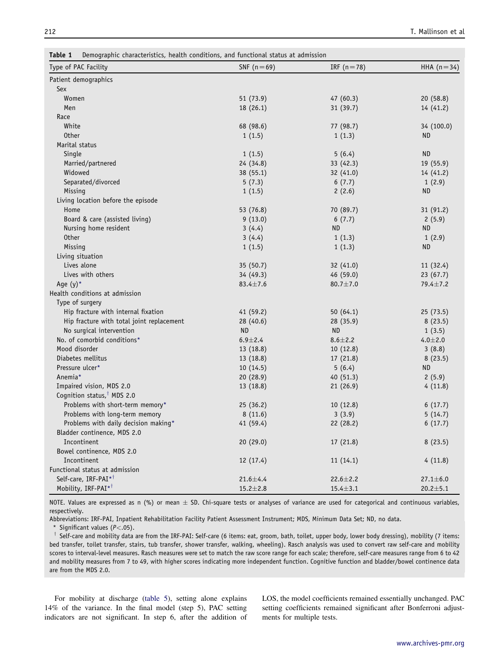<span id="page-3-0"></span>212 T. Mallinson et al

Table 1 Demographic characteristics, health conditions, and functional status at admission

| Type of PAC Facility                      | SNF $(n=69)$   | IRF $(n=78)$   | HHA $(n=34)$   |
|-------------------------------------------|----------------|----------------|----------------|
| Patient demographics                      |                |                |                |
| Sex                                       |                |                |                |
| Women                                     | 51 (73.9)      | 47(60.3)       | 20 (58.8)      |
| Men                                       | 18(26.1)       | 31(39.7)       | 14 (41.2)      |
| Race                                      |                |                |                |
| White                                     | 68 (98.6)      | 77 (98.7)      | 34 (100.0)     |
| <b>Other</b>                              | 1(1.5)         | 1(1.3)         | <b>ND</b>      |
| Marital status                            |                |                |                |
| Single                                    | 1(1.5)         | 5(6.4)         | <b>ND</b>      |
| Married/partnered                         | 24 (34.8)      | 33(42.3)       | 19(55.9)       |
| Widowed                                   | 38 (55.1)      | 32(41.0)       | 14 (41.2)      |
| Separated/divorced                        | 5(7.3)         | 6(7.7)         | 1(2.9)         |
| Missing                                   | 1(1.5)         | 2(2.6)         | <b>ND</b>      |
| Living location before the episode        |                |                |                |
| Home                                      | 53 (76.8)      | 70 (89.7)      | 31 (91.2)      |
| Board & care (assisted living)            | 9(13.0)        | 6(7.7)         | 2(5.9)         |
| Nursing home resident                     | 3(4.4)         | <b>ND</b>      | <b>ND</b>      |
| <b>Other</b>                              | 3(4.4)         | 1(1.3)         | 1(2.9)         |
| Missing                                   | 1(1.5)         | 1(1.3)         | <b>ND</b>      |
| Living situation                          |                |                |                |
| Lives alone                               | 35(50.7)       | 32(41.0)       | 11 (32.4)      |
| Lives with others                         | 34 (49.3)      | 46 (59.0)      | 23(67.7)       |
| Age $(y)$ *                               | $83.4 \pm 7.6$ | $80.7 \pm 7.0$ | 79.4±7.2       |
| Health conditions at admission            |                |                |                |
| Type of surgery                           |                |                |                |
| Hip fracture with internal fixation       | 41 (59.2)      | 50(64.1)       | 25(73.5)       |
| Hip fracture with total joint replacement | 28 (40.6)      | 28 (35.9)      | 8(23.5)        |
| No surgical intervention                  | <b>ND</b>      | <b>ND</b>      | 1(3.5)         |
| No. of comorbid conditions*               | $6.9 + 2.4$    | $8.6 \pm 2.2$  | $4.0 \pm 2.0$  |
| Mood disorder                             | 13(18.8)       | 10(12.8)       | 3(8.8)         |
| Diabetes mellitus                         | 13 (18.8)      | 17(21.8)       | 8(23.5)        |
| Pressure ulcer*                           | 10(14.5)       | 5(6.4)         | <b>ND</b>      |
| Anemia <sup>*</sup>                       | 20(28.9)       | 40(51.3)       | 2(5.9)         |
| Impaired vision, MDS 2.0                  | 13(18.8)       | 21(26.9)       | 4(11.8)        |
| Cognition status, <sup>†</sup> MDS 2.0    |                |                |                |
| Problems with short-term memory*          | 25(36.2)       | 10(12.8)       | 6(17.7)        |
| Problems with long-term memory            | 8(11.6)        | 3(3.9)         | 5(14.7)        |
| Problems with daily decision making*      | 41 (59.4)      | 22(28.2)       | 6(17.7)        |
| Bladder continence, MDS 2.0               |                |                |                |
| Incontinent                               | 20 (29.0)      | 17(21.8)       | 8(23.5)        |
| Bowel continence, MDS 2.0                 |                |                |                |
| Incontinent                               | 12(17.4)       | 11(14.1)       | 4(11.8)        |
| Functional status at admission            |                |                |                |
| Self-care, IRF-PAI* <sup>†</sup>          | $21.6 \pm 4.4$ | $22.6 \pm 2.2$ | $27.1 \pm 6.0$ |
| Mobility, IRF-PAI* <sup>†</sup>           | $15.2 \pm 2.8$ | $15.4 \pm 3.1$ | $20.2 \pm 5.1$ |
|                                           |                |                |                |

<code>NOTE</code>. Values are expressed as <code>n</code> (%) or mean  $\pm$  SD. Chi-square tests or analyses of variance are used for categorical and continuous variables, respectively.

Abbreviations: IRF-PAI, Inpatient Rehabilitation Facility Patient Assessment Instrument; MDS, Minimum Data Set; ND, no data.

Significant values ( $P$ <.05).

 $^{\dagger}$  Self-care and mobility data are from the IRF-PAI: Self-care (6 items: eat, groom, bath, toilet, upper body, lower body dressing), mobility (7 items: bed transfer, toilet transfer, stairs, tub transfer, shower transfer, walking, wheeling). Rasch analysis was used to convert raw self-care and mobility scores to interval-level measures. Rasch measures were set to match the raw score range for each scale; therefore, self-care measures range from 6 to 42 and mobility measures from 7 to 49, with higher scores indicating more independent function. Cognitive function and bladder/bowel continence data are from the MDS 2.0.

For mobility at discharge [\(table 5](#page-6-0)), setting alone explains 14% of the variance. In the final model (step 5), PAC setting indicators are not significant. In step 6, after the addition of LOS, the model coefficients remained essentially unchanged. PAC setting coefficients remained significant after Bonferroni adjustments for multiple tests.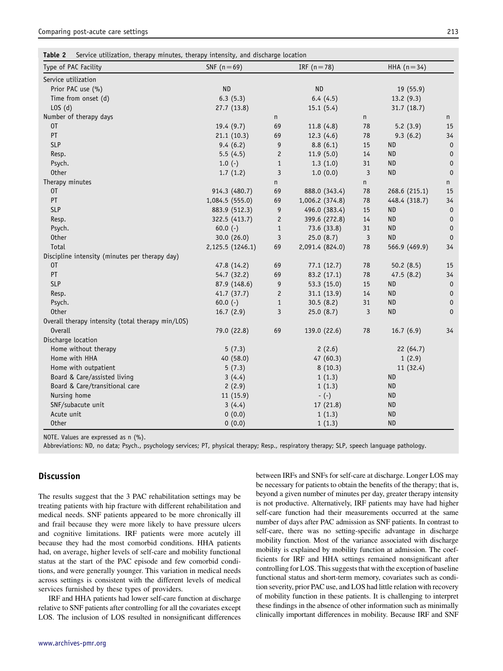<span id="page-4-0"></span>Table 2 Service utilization, therapy minutes, therapy intensity, and discharge location

| Type of PAC Facility                              | SNF $(n=69)$     |                | IRF $(n=78)$    |                | HHA $(n=34)$  |              |
|---------------------------------------------------|------------------|----------------|-----------------|----------------|---------------|--------------|
| Service utilization                               |                  |                |                 |                |               |              |
| Prior PAC use (%)                                 | <b>ND</b>        |                | <b>ND</b>       |                | 19 (55.9)     |              |
| Time from onset (d)                               | 6.3(5.3)         | 6.4(4.5)       |                 |                | 13.2(9.3)     |              |
| LOS(d)                                            | 27.7 (13.8)      |                | 15.1(5.4)       |                | 31.7(18.7)    |              |
| Number of therapy days                            |                  | n              |                 | n              |               | n            |
| 0T                                                | 19.4(9.7)        | 69             | 11.8(4.8)       | 78             | 5.2(3.9)      | 15           |
| PT                                                | 21.1(10.3)       | 69             | 12.3(4.6)       | 78             | 9.3(6.2)      | 34           |
| <b>SLP</b>                                        | 9.4(6.2)         | 9              | 8.8(6.1)        | 15             | <b>ND</b>     | $\mathbf 0$  |
| Resp.                                             | 5.5(4.5)         | $\overline{c}$ | 11.9(5.0)       | 14             | <b>ND</b>     | $\mathbf 0$  |
| Psych.                                            | $1.0(-)$         | $\mathbf{1}$   | 1.3(1.0)        | 31             | <b>ND</b>     | $\mathbf 0$  |
| <b>Other</b>                                      | 1.7(1.2)         | 3              | 1.0(0.0)        | $\overline{3}$ | <b>ND</b>     | $\mathbf 0$  |
| Therapy minutes                                   |                  | n              |                 | n              |               | $\mathsf{n}$ |
| 0T                                                | 914.3 (480.7)    | 69             | 888.0 (343.4)   | 78             | 268.6 (215.1) | 15           |
| PT                                                | 1,084.5 (555.0)  | 69             | 1,006.2 (374.8) | 78             | 448.4 (318.7) | 34           |
| <b>SLP</b>                                        | 883.9 (512.3)    | 9              | 496.0 (383.4)   | 15             | <b>ND</b>     | $\mathbf 0$  |
| Resp.                                             | 322.5 (413.7)    | $\overline{c}$ | 399.6 (272.8)   | 14             | <b>ND</b>     | $\mathbf 0$  |
| Psych.                                            | $60.0(-)$        | $\mathbf{1}$   | 73.6(33.8)      | 31             | <b>ND</b>     | $\mathbf 0$  |
| <b>Other</b>                                      | 30.0(26.0)       | 3              | 25.0(8.7)       | $\overline{3}$ | <b>ND</b>     | $\mathbf 0$  |
| Total                                             | 2,125.5 (1246.1) | 69             | 2,091.4 (824.0) | 78             | 566.9 (469.9) | 34           |
| Discipline intensity (minutes per therapy day)    |                  |                |                 |                |               |              |
| 0T                                                | 47.8 (14.2)      | 69             | 77.1(12.7)      | 78             | 50.2(8.5)     | 15           |
| PT                                                | 54.7 (32.2)      | 69             | 83.2 (17.1)     | 78             | 47.5(8.2)     | 34           |
| <b>SLP</b>                                        | 87.9 (148.6)     | 9              | 53.3(15.0)      | 15             | <b>ND</b>     | $\pmb{0}$    |
| Resp.                                             | 41.7 (37.7)      | $\overline{c}$ | 31.1(13.9)      | 14             | <b>ND</b>     | $\pmb{0}$    |
| Psych.                                            | $60.0(-)$        | $\mathbf{1}$   | 30.5(8.2)       | 31             | <b>ND</b>     | $\mathbf 0$  |
| <b>Other</b>                                      | 16.7(2.9)        | 3              | 25.0(8.7)       | 3              | <b>ND</b>     | $\mathbf 0$  |
| Overall therapy intensity (total therapy min/LOS) |                  |                |                 |                |               |              |
| <b>Overall</b>                                    | 79.0 (22.8)      | 69             | 139.0 (22.6)    | 78             | 16.7(6.9)     | 34           |
| Discharge location                                |                  |                |                 |                |               |              |
| Home without therapy                              | 5(7.3)           |                | 2(2.6)          |                | 22(64.7)      |              |
| Home with HHA                                     | 40 (58.0)        |                | 47(60.3)        |                | 1(2.9)        |              |
| Home with outpatient                              | 5(7.3)           |                | 8(10.3)         |                | 11 (32.4)     |              |
| Board & Care/assisted living                      | 3(4.4)           |                | 1(1.3)          |                | <b>ND</b>     |              |
| Board & Care/transitional care                    | 2(2.9)           |                | 1(1.3)          |                | <b>ND</b>     |              |
| Nursing home                                      | 11(15.9)         |                | $-(-)$          |                | <b>ND</b>     |              |
| SNF/subacute unit                                 | 3(4.4)           |                | 17(21.8)        |                | <b>ND</b>     |              |
| Acute unit                                        | 0(0.0)           |                | 1(1.3)          |                | <b>ND</b>     |              |
| <b>Other</b>                                      | 0(0.0)           |                | 1(1.3)          |                | <b>ND</b>     |              |

NOTE. Values are expressed as n (%).

Abbreviations: ND, no data; Psych., psychology services; PT, physical therapy; Resp., respiratory therapy; SLP, speech language pathology.

# Discussion

The results suggest that the 3 PAC rehabilitation settings may be treating patients with hip fracture with different rehabilitation and medical needs. SNF patients appeared to be more chronically ill and frail because they were more likely to have pressure ulcers and cognitive limitations. IRF patients were more acutely ill because they had the most comorbid conditions. HHA patients had, on average, higher levels of self-care and mobility functional status at the start of the PAC episode and few comorbid conditions, and were generally younger. This variation in medical needs across settings is consistent with the different levels of medical services furnished by these types of providers.

IRF and HHA patients had lower self-care function at discharge relative to SNF patients after controlling for all the covariates except LOS. The inclusion of LOS resulted in nonsignificant differences between IRFs and SNFs for self-care at discharge. Longer LOS may be necessary for patients to obtain the benefits of the therapy; that is, beyond a given number of minutes per day, greater therapy intensity is not productive. Alternatively, IRF patients may have had higher self-care function had their measurements occurred at the same number of days after PAC admission as SNF patients. In contrast to self-care, there was no setting-specific advantage in discharge mobility function. Most of the variance associated with discharge mobility is explained by mobility function at admission. The coefficients for IRF and HHA settings remained nonsignificant after controlling for LOS. This suggests that with the exception of baseline functional status and short-term memory, covariates such as condition severity, prior PAC use, and LOS had little relation with recovery of mobility function in these patients. It is challenging to interpret these findings in the absence of other information such as minimally clinically important differences in mobility. Because IRF and SNF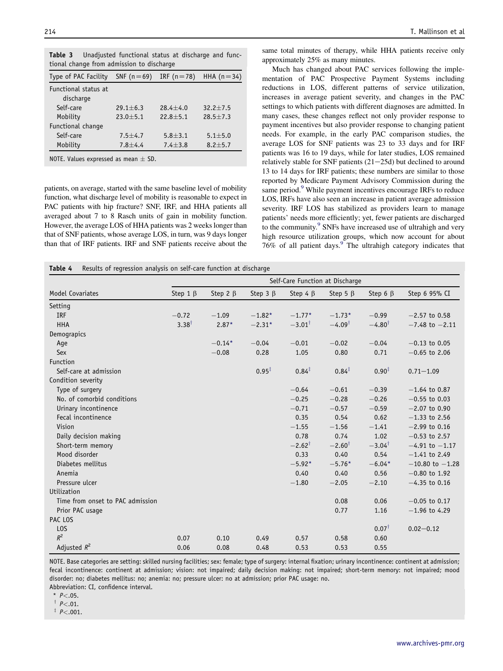<span id="page-5-0"></span>Table 3 Unadjusted functional status at discharge and functional change from admission to discharge

| Type of PAC Facility              | SNF $(n=69)$ | IRF $(n=78)$ | HHA $(n=34)$ |
|-----------------------------------|--------------|--------------|--------------|
| Functional status at<br>discharge |              |              |              |
| Self-care                         | $29.1 + 6.3$ | $28.4 + 4.0$ | $32.2 + 7.5$ |
| Mobility                          | $23.0 + 5.1$ | $22.8 + 5.1$ | $28.5 + 7.3$ |
| Functional change                 |              |              |              |
| Self-care                         | $7.5 + 4.7$  | $5.8 + 3.1$  | $5.1 + 5.0$  |
| Mobility                          | $7.8 + 4.4$  | $7.4 + 3.8$  | $8.2 + 5.7$  |
|                                   |              |              |              |

NOTE. Values expressed as mean  $\pm$  SD.

patients, on average, started with the same baseline level of mobility function, what discharge level of mobility is reasonable to expect in PAC patients with hip fracture? SNF, IRF, and HHA patients all averaged about 7 to 8 Rasch units of gain in mobility function. However, the average LOS of HHA patients was 2 weeks longer than that of SNF patients, whose average LOS, in turn, was 9 days longer than that of IRF patients. IRF and SNF patients receive about the same total minutes of therapy, while HHA patients receive only approximately 25% as many minutes.

Much has changed about PAC services following the implementation of PAC Prospective Payment Systems including reductions in LOS, different patterns of service utilization, increases in average patient severity, and changes in the PAC settings to which patients with different diagnoses are admitted. In many cases, these changes reflect not only provider response to payment incentives but also provider response to changing patient needs. For example, in the early PAC comparison studies, the average LOS for SNF patients was 23 to 33 days and for IRF patients was 16 to 19 days, while for later studies, LOS remained relatively stable for SNF patients  $(21-25d)$  but declined to around 13 to 14 days for IRF patients; these numbers are similar to those reported by Medicare Payment Advisory Commission during the same period.<sup>[9](#page-7-0)</sup> While payment incentives encourage IRFs to reduce LOS, IRFs have also seen an increase in patient average admission severity. IRF LOS has stabilized as providers learn to manage patients' needs more efficiently; yet, fewer patients are discharged to the community.<sup>[9](#page-7-0)</sup> SNFs have increased use of ultrahigh and very high resource utilization groups, which now account for about  $76\%$  of all patient days. $9$  The ultrahigh category indicates that

| Model Covariates                 |                  | Self-Care Function at Discharge |                   |                   |                   |                   |                     |  |  |
|----------------------------------|------------------|---------------------------------|-------------------|-------------------|-------------------|-------------------|---------------------|--|--|
|                                  | Step 1 $\beta$   | Step 2 $\beta$                  | Step 3 $\beta$    | Step 4 $\beta$    | Step 5 $\beta$    | Step 6 $\beta$    | Step 6 95% CI       |  |  |
| Setting                          |                  |                                 |                   |                   |                   |                   |                     |  |  |
| IRF                              | $-0.72$          | $-1.09$                         | $-1.82*$          | $-1.77*$          | $-1.73*$          | $-0.99$           | $-2.57$ to 0.58     |  |  |
| <b>HHA</b>                       | $3.38^{\dagger}$ | $2.87*$                         | $-2.31*$          | $-3.01^{\dagger}$ | $-4.09^{\dagger}$ | $-4.80^{\dagger}$ | $-7.48$ to $-2.11$  |  |  |
| Demograpics                      |                  |                                 |                   |                   |                   |                   |                     |  |  |
| Age                              |                  | $-0.14*$                        | $-0.04$           | $-0.01$           | $-0.02$           | $-0.04$           | $-0.13$ to 0.05     |  |  |
| Sex                              |                  | $-0.08$                         | 0.28              | 1.05              | 0.80              | 0.71              | $-0.65$ to 2.06     |  |  |
| Function                         |                  |                                 |                   |                   |                   |                   |                     |  |  |
| Self-care at admission           |                  |                                 | $0.95^{\ddagger}$ | $0.84^{\ddagger}$ | $0.84^{\ddagger}$ | $0.90^{\ddagger}$ | $0.71 - 1.09$       |  |  |
| Condition severity               |                  |                                 |                   |                   |                   |                   |                     |  |  |
| Type of surgery                  |                  |                                 |                   | $-0.64$           | $-0.61$           | $-0.39$           | $-1.64$ to 0.87     |  |  |
| No. of comorbid conditions       |                  |                                 |                   | $-0.25$           | $-0.28$           | $-0.26$           | $-0.55$ to 0.03     |  |  |
| Urinary incontinence             |                  |                                 |                   | $-0.71$           | $-0.57$           | $-0.59$           | $-2.07$ to 0.90     |  |  |
| Fecal incontinence               |                  |                                 |                   | 0.35              | 0.54              | 0.62              | $-1.33$ to 2.56     |  |  |
| Vision                           |                  |                                 |                   | $-1.55$           | $-1.56$           | $-1.41$           | $-2.99$ to 0.16     |  |  |
| Daily decision making            |                  |                                 |                   | 0.78              | 0.74              | 1.02              | $-0.53$ to 2.57     |  |  |
| Short-term memory                |                  |                                 |                   | $-2.62^{\dagger}$ | $-2.60^{\dagger}$ | $-3.04^{\dagger}$ | $-4.91$ to $-1.17$  |  |  |
| Mood disorder                    |                  |                                 |                   | 0.33              | 0.40              | 0.54              | $-1.41$ to 2.49     |  |  |
| Diabetes mellitus                |                  |                                 |                   | $-5.92*$          | $-5.76*$          | $-6.04*$          | $-10.80$ to $-1.28$ |  |  |
| Anemia                           |                  |                                 |                   | 0.40              | 0.40              | 0.56              | $-0.80$ to 1.92     |  |  |
| Pressure ulcer                   |                  |                                 |                   | $-1.80$           | $-2.05$           | $-2.10$           | $-4.35$ to 0.16     |  |  |
| Utilization                      |                  |                                 |                   |                   |                   |                   |                     |  |  |
| Time from onset to PAC admission |                  |                                 |                   |                   | 0.08              | 0.06              | $-0.05$ to 0.17     |  |  |
| Prior PAC usage                  |                  |                                 |                   |                   | 0.77              | 1.16              | $-1.96$ to 4.29     |  |  |
| PAC LOS                          |                  |                                 |                   |                   |                   |                   |                     |  |  |
| L <sub>0</sub> S                 |                  |                                 |                   |                   |                   | $0.07^{\dagger}$  | $0.02 - 0.12$       |  |  |
| $R^2$                            | 0.07             | 0.10                            | 0.49              | 0.57              | 0.58              | 0.60              |                     |  |  |
| Adjusted $R^2$                   | 0.06             | 0.08                            | 0.48              | 0.53              | 0.53              | 0.55              |                     |  |  |

NOTE. Base categories are setting: skilled nursing facilities; sex: female; type of surgery: internal fixation; urinary incontinence: continent at admission; fecal incontinence: continent at admission; vision: not impaired; daily decision making: not impaired; short-term memory: not impaired; mood disorder: no; diabetes mellitus: no; anemia: no; pressure ulcer: no at admission; prior PAC usage: no. Abbreviation: CI, confidence interval.

 $*$   $P < .05$ .

 $\dagger$  P<.01.

 $\frac{1}{2}$  P<.001.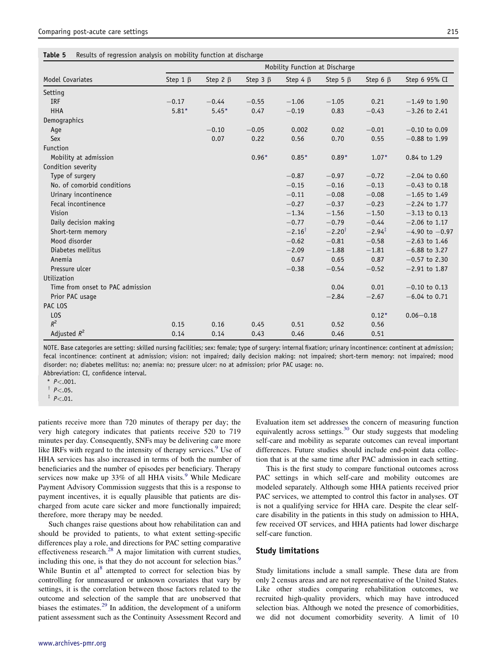#### <span id="page-6-0"></span>Table 5 Results of regression analysis on mobility function at discharge

|                                  | Mobility Function at Discharge |                |                |                   |                   |                    |                    |
|----------------------------------|--------------------------------|----------------|----------------|-------------------|-------------------|--------------------|--------------------|
| <b>Model Covariates</b>          | Step 1 $\beta$                 | Step 2 $\beta$ | Step 3 $\beta$ | Step 4 $\beta$    | Step 5 $\beta$    | Step 6 $\beta$     | Step 6 95% CI      |
| Setting                          |                                |                |                |                   |                   |                    |                    |
| IRF                              | $-0.17$                        | $-0.44$        | $-0.55$        | $-1.06$           | $-1.05$           | 0.21               | $-1.49$ to 1.90    |
| <b>HHA</b>                       | $5.81*$                        | $5.45*$        | 0.47           | $-0.19$           | 0.83              | $-0.43$            | $-3.26$ to 2.41    |
| Demographics                     |                                |                |                |                   |                   |                    |                    |
| Age                              |                                | $-0.10$        | $-0.05$        | 0.002             | 0.02              | $-0.01$            | $-0.10$ to 0.09    |
| Sex                              |                                | 0.07           | 0.22           | 0.56              | 0.70              | 0.55               | $-0.88$ to 1.99    |
| Function                         |                                |                |                |                   |                   |                    |                    |
| Mobility at admission            |                                |                | $0.96*$        | $0.85*$           | $0.89*$           | $1.07*$            | 0.84 to 1.29       |
| Condition severity               |                                |                |                |                   |                   |                    |                    |
| Type of surgery                  |                                |                |                | $-0.87$           | $-0.97$           | $-0.72$            | $-2.04$ to 0.60    |
| No. of comorbid conditions       |                                |                |                | $-0.15$           | $-0.16$           | $-0.13$            | $-0.43$ to $0.18$  |
| Urinary incontinence             |                                |                |                | $-0.11$           | $-0.08$           | $-0.08$            | $-1.65$ to 1.49    |
| Fecal incontinence               |                                |                |                | $-0.27$           | $-0.37$           | $-0.23$            | $-2.24$ to 1.77    |
| Vision                           |                                |                |                | $-1.34$           | $-1.56$           | $-1.50$            | $-3.13$ to 0.13    |
| Daily decision making            |                                |                |                | $-0.77$           | $-0.79$           | $-0.44$            | $-2.06$ to 1.17    |
| Short-term memory                |                                |                |                | $-2.16^{\dagger}$ | $-2.20^{\dagger}$ | $-2.94^{\ddagger}$ | $-4.90$ to $-0.97$ |
| Mood disorder                    |                                |                |                | $-0.62$           | $-0.81$           | $-0.58$            | $-2.63$ to 1.46    |
| Diabetes mellitus                |                                |                |                | $-2.09$           | $-1.88$           | $-1.81$            | $-6.88$ to 3.27    |
| Anemia                           |                                |                |                | 0.67              | 0.65              | 0.87               | $-0.57$ to 2.30    |
| Pressure ulcer                   |                                |                |                | $-0.38$           | $-0.54$           | $-0.52$            | $-2.91$ to 1.87    |
| Utilization                      |                                |                |                |                   |                   |                    |                    |
| Time from onset to PAC admission |                                |                |                |                   | 0.04              | 0.01               | $-0.10$ to 0.13    |
| Prior PAC usage                  |                                |                |                |                   | $-2.84$           | $-2.67$            | $-6.04$ to 0.71    |
| PAC LOS                          |                                |                |                |                   |                   |                    |                    |
| L <sub>0</sub> S                 |                                |                |                |                   |                   | $0.12*$            | $0.06 - 0.18$      |
| $R^2$                            | 0.15                           | 0.16           | 0.45           | 0.51              | 0.52              | 0.56               |                    |
| Adjusted $R^2$                   | 0.14                           | 0.14           | 0.43           | 0.46              | 0.46              | 0.51               |                    |

NOTE. Base categories are setting: skilled nursing facilities; sex: female; type of surgery: internal fixation; urinary incontinence: continent at admission; fecal incontinence: continent at admission; vision: not impaired; daily decision making: not impaired; short-term memory: not impaired; mood disorder: no; diabetes mellitus: no; anemia: no; pressure ulcer: no at admission; prior PAC usage: no. Abbreviation: CI, confidence interval.

 $P < .001$ .

 $\dagger$  P<.05.

 $P < .01$ .

patients receive more than 720 minutes of therapy per day; the very high category indicates that patients receive 520 to 719 minutes per day. Consequently, SNFs may be delivering care more like IRFs with regard to the intensity of therapy services.<sup>[9](#page-7-0)</sup> Use of HHA services has also increased in terms of both the number of beneficiaries and the number of episodes per beneficiary. Therapy services now make up 33% of all HHA visits.<sup>[9](#page-7-0)</sup> While Medicare Payment Advisory Commission suggests that this is a response to payment incentives, it is equally plausible that patients are discharged from acute care sicker and more functionally impaired; therefore, more therapy may be needed.

Such changes raise questions about how rehabilitation can and should be provided to patients, to what extent setting-specific differences play a role, and directions for PAC setting comparative effectiveness research. $^{28}$  $^{28}$  $^{28}$  A major limitation with current studies, including this one, is that they do not account for selection bias.<sup>[9](#page-7-0)</sup> While Buntin et al<sup>[8](#page-7-0)</sup> attempted to correct for selection bias by controlling for unmeasured or unknown covariates that vary by settings, it is the correlation between those factors related to the outcome and selection of the sample that are unobserved that biases the estimates.[29](#page-8-0) In addition, the development of a uniform patient assessment such as the Continuity Assessment Record and

[www.archives-pmr.org](http://www.archives-pmr.org)

Evaluation item set addresses the concern of measuring function equivalently across settings. $30$  Our study suggests that modeling self-care and mobility as separate outcomes can reveal important differences. Future studies should include end-point data collection that is at the same time after PAC admission in each setting.

This is the first study to compare functional outcomes across PAC settings in which self-care and mobility outcomes are modeled separately. Although some HHA patients received prior PAC services, we attempted to control this factor in analyses. OT is not a qualifying service for HHA care. Despite the clear selfcare disability in the patients in this study on admission to HHA, few received OT services, and HHA patients had lower discharge self-care function.

#### Study limitations

Study limitations include a small sample. These data are from only 2 census areas and are not representative of the United States. Like other studies comparing rehabilitation outcomes, we recruited high-quality providers, which may have introduced selection bias. Although we noted the presence of comorbidities, we did not document comorbidity severity. A limit of 10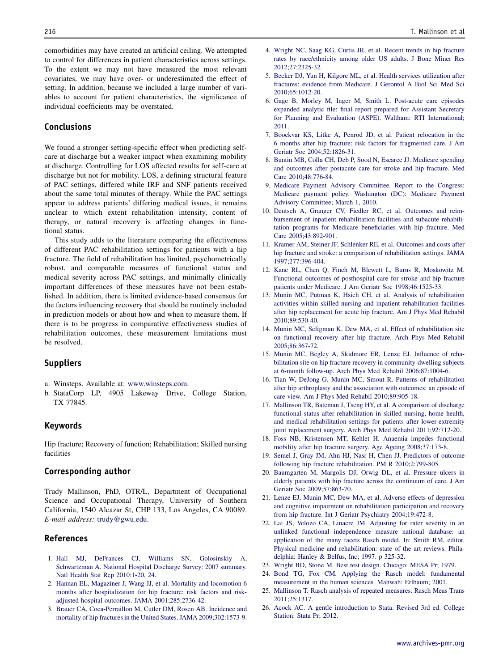<span id="page-7-0"></span>comorbidities may have created an artificial ceiling. We attempted to control for differences in patient characteristics across settings. To the extent we may not have measured the most relevant covariates, we may have over- or underestimated the effect of setting. In addition, because we included a large number of variables to account for patient characteristics, the significance of individual coefficients may be overstated.

# Conclusions

We found a stronger setting-specific effect when predicting selfcare at discharge but a weaker impact when examining mobility at discharge. Controlling for LOS affected results for self-care at discharge but not for mobility. LOS, a defining structural feature of PAC settings, differed while IRF and SNF patients received about the same total minutes of therapy. While the PAC settings appear to address patients' differing medical issues, it remains unclear to which extent rehabilitation intensity, content of therapy, or natural recovery is affecting changes in functional status.

This study adds to the literature comparing the effectiveness of different PAC rehabilitation settings for patients with a hip fracture. The field of rehabilitation has limited, psychometrically robust, and comparable measures of functional status and medical severity across PAC settings, and minimally clinically important differences of these measures have not been established. In addition, there is limited evidence-based consensus for the factors influencing recovery that should be routinely included in prediction models or about how and when to measure them. If there is to be progress in comparative effectiveness studies of rehabilitation outcomes, these measurement limitations must be resolved.

# Suppliers

- a. Winsteps. Available at: [www.winsteps.com.](http://www.winsteps.com)
- b. StataCorp LP, 4905 Lakeway Drive, College Station, TX 77845.

### Keywords

Hip fracture; Recovery of function; Rehabilitation; Skilled nursing facilities

# Corresponding author

Trudy Mallinson, PhD, OTR/L, Department of Occupational Science and Occupational Therapy, University of Southern California, 1540 Alcazar St, CHP 133, Los Angeles, CA 90089. E-mail address: [trudy@gwu.edu.](mailto:trudy@gwu.edu)

#### References

- 1. [Hall MJ, DeFrances CJ, Williams SN, Golosinskiy A,](http://refhub.elsevier.com/S0003-9993(13)00518-2/sref1) [Schwartzman A. National Hospital Discharge Survey: 2007 summary.](http://refhub.elsevier.com/S0003-9993(13)00518-2/sref1) [Natl Health Stat Rep 2010:1-20, 24.](http://refhub.elsevier.com/S0003-9993(13)00518-2/sref1)
- 2. [Hannan EL, Magaziner J, Wang JJ, et al. Mortality and locomotion 6](http://refhub.elsevier.com/S0003-9993(13)00518-2/sref2) [months after hospitalization for hip fracture: risk factors and risk](http://refhub.elsevier.com/S0003-9993(13)00518-2/sref2)[adjusted hospital outcomes. JAMA 2001;285:2736-42](http://refhub.elsevier.com/S0003-9993(13)00518-2/sref2).
- 3. [Brauer CA, Coca-Perraillon M, Cutler DM, Rosen AB. Incidence and](http://refhub.elsevier.com/S0003-9993(13)00518-2/sref3) [mortality of hip fractures in the United States. JAMA 2009;302:1573-9.](http://refhub.elsevier.com/S0003-9993(13)00518-2/sref3)
- 4. [Wright NC, Saag KG, Curtis JR, et al. Recent trends in hip fracture](http://refhub.elsevier.com/S0003-9993(13)00518-2/sref4) [rates by race/ethnicity among older US adults. J Bone Miner Res](http://refhub.elsevier.com/S0003-9993(13)00518-2/sref4) [2012;27:2325-32](http://refhub.elsevier.com/S0003-9993(13)00518-2/sref4).
- 5. [Becker DJ, Yun H, Kilgore ML, et al. Health services utilization after](http://refhub.elsevier.com/S0003-9993(13)00518-2/sref5) [fractures: evidence from Medicare. J Gerontol A Biol Sci Med Sci](http://refhub.elsevier.com/S0003-9993(13)00518-2/sref5) [2010;65:1012-20](http://refhub.elsevier.com/S0003-9993(13)00518-2/sref5).
- 6. [Gage B, Morley M, Inger M, Smith L. Post-acute care episodes](http://refhub.elsevier.com/S0003-9993(13)00518-2/sref6) [expanded analytic file: final report prepared for Assistant Secretary](http://refhub.elsevier.com/S0003-9993(13)00518-2/sref6) [for Planning and Evaluation \(ASPE\). Waltham: RTI International;](http://refhub.elsevier.com/S0003-9993(13)00518-2/sref6) [2011](http://refhub.elsevier.com/S0003-9993(13)00518-2/sref6).
- 7. [Boockvar KS, Litke A, Penrod JD, et al. Patient relocation in the](http://refhub.elsevier.com/S0003-9993(13)00518-2/sref7) [6 months after hip fracture: risk factors for fragmented care. J Am](http://refhub.elsevier.com/S0003-9993(13)00518-2/sref7) [Geriatr Soc 2004;52:1826-31](http://refhub.elsevier.com/S0003-9993(13)00518-2/sref7).
- 8. [Buntin MB, Colla CH, Deb P, Sood N, Escarce JJ. Medicare spending](http://refhub.elsevier.com/S0003-9993(13)00518-2/sref8) [and outcomes after postacute care for stroke and hip fracture. Med](http://refhub.elsevier.com/S0003-9993(13)00518-2/sref8) [Care 2010;48:776-84.](http://refhub.elsevier.com/S0003-9993(13)00518-2/sref8)
- 9. [Medicare Payment Advisory Committee. Report to the Congress:](http://refhub.elsevier.com/S0003-9993(13)00518-2/sref9) [Medicare payment policy. Washington \(DC\): Medicare Payment](http://refhub.elsevier.com/S0003-9993(13)00518-2/sref9) [Advisory Committee; March 1, 2010](http://refhub.elsevier.com/S0003-9993(13)00518-2/sref9).
- 10. [Deutsch A, Granger CV, Fiedler RC, et al. Outcomes and reim](http://refhub.elsevier.com/S0003-9993(13)00518-2/sref10)[bursement of inpatient rehabilitation facilities and subacute rehabili](http://refhub.elsevier.com/S0003-9993(13)00518-2/sref10)[tation programs for Medicare beneficiaries with hip fracture. Med](http://refhub.elsevier.com/S0003-9993(13)00518-2/sref10) [Care 2005;43:892-901](http://refhub.elsevier.com/S0003-9993(13)00518-2/sref10).
- 11. [Kramer AM, Steiner JF, Schlenker RE, et al. Outcomes and costs after](http://refhub.elsevier.com/S0003-9993(13)00518-2/sref11) [hip fracture and stroke: a comparison of rehabilitation settings. JAMA](http://refhub.elsevier.com/S0003-9993(13)00518-2/sref11) [1997;277:396-404](http://refhub.elsevier.com/S0003-9993(13)00518-2/sref11).
- 12. [Kane RL, Chen Q, Finch M, Blewett L, Burns R, Moskowitz M.](http://refhub.elsevier.com/S0003-9993(13)00518-2/sref12) [Functional outcomes of posthospital care for stroke and hip fracture](http://refhub.elsevier.com/S0003-9993(13)00518-2/sref12) [patients under Medicare. J Am Geriatr Soc 1998;46:1525-33](http://refhub.elsevier.com/S0003-9993(13)00518-2/sref12).
- 13. [Munin MC, Putman K, Hsieh CH, et al. Analysis of rehabilitation](http://refhub.elsevier.com/S0003-9993(13)00518-2/sref13) [activities within skilled nursing and inpatient rehabilitation facilities](http://refhub.elsevier.com/S0003-9993(13)00518-2/sref13) [after hip replacement for acute hip fracture. Am J Phys Med Rehabil](http://refhub.elsevier.com/S0003-9993(13)00518-2/sref13) [2010;89:530-40](http://refhub.elsevier.com/S0003-9993(13)00518-2/sref13).
- 14. [Munin MC, Seligman K, Dew MA, et al. Effect of rehabilitation site](http://refhub.elsevier.com/S0003-9993(13)00518-2/sref14) [on functional recovery after hip fracture. Arch Phys Med Rehabil](http://refhub.elsevier.com/S0003-9993(13)00518-2/sref14) [2005;86:367-72](http://refhub.elsevier.com/S0003-9993(13)00518-2/sref14).
- 15. [Munin MC, Begley A, Skidmore ER, Lenze EJ. Influence of reha](http://refhub.elsevier.com/S0003-9993(13)00518-2/sref15)[bilitation site on hip fracture recovery in community-dwelling subjects](http://refhub.elsevier.com/S0003-9993(13)00518-2/sref15) [at 6-month follow-up. Arch Phys Med Rehabil 2006;87:1004-6.](http://refhub.elsevier.com/S0003-9993(13)00518-2/sref15)
- 16. [Tian W, DeJong G, Munin MC, Smout R. Patterns of rehabilitation](http://refhub.elsevier.com/S0003-9993(13)00518-2/sref16) [after hip arthroplasty and the association with outcomes: an episode of](http://refhub.elsevier.com/S0003-9993(13)00518-2/sref16) [care view. Am J Phys Med Rehabil 2010;89:905-18.](http://refhub.elsevier.com/S0003-9993(13)00518-2/sref16)
- 17. [Mallinson TR, Bateman J, Tseng HY, et al. A comparison of discharge](http://refhub.elsevier.com/S0003-9993(13)00518-2/sref17) [functional status after rehabilitation in skilled nursing, home health,](http://refhub.elsevier.com/S0003-9993(13)00518-2/sref17) [and medical rehabilitation settings for patients after lower-extremity](http://refhub.elsevier.com/S0003-9993(13)00518-2/sref17) [joint replacement surgery. Arch Phys Med Rehabil 2011;92:712-20.](http://refhub.elsevier.com/S0003-9993(13)00518-2/sref17)
- 18. [Foss NB, Kristensen MT, Kehlet H. Anaemia impedes functional](http://refhub.elsevier.com/S0003-9993(13)00518-2/sref18) [mobility after hip fracture surgery. Age Ageing 2008;37:173-8.](http://refhub.elsevier.com/S0003-9993(13)00518-2/sref18)
- 19. [Semel J, Gray JM, Ahn HJ, Nasr H, Chen JJ. Predictors of outcome](http://refhub.elsevier.com/S0003-9993(13)00518-2/sref19) [following hip fracture rehabilitation. PM R 2010;2:799-805](http://refhub.elsevier.com/S0003-9993(13)00518-2/sref19).
- 20. [Baumgarten M, Margolis DJ, Orwig DL, et al. Pressure ulcers in](http://refhub.elsevier.com/S0003-9993(13)00518-2/sref20) [elderly patients with hip fracture across the continuum of care. J Am](http://refhub.elsevier.com/S0003-9993(13)00518-2/sref20) [Geriatr Soc 2009;57:863-70](http://refhub.elsevier.com/S0003-9993(13)00518-2/sref20).
- 21. [Lenze EJ, Munin MC, Dew MA, et al. Adverse effects of depression](http://refhub.elsevier.com/S0003-9993(13)00518-2/sref21) [and cognitive impairment on rehabilitation participation and recovery](http://refhub.elsevier.com/S0003-9993(13)00518-2/sref21) [from hip fracture. Int J Geriatr Psychiatry 2004;19:472-8](http://refhub.elsevier.com/S0003-9993(13)00518-2/sref21).
- 22. [Lai JS, Velozo CA, Linacre JM. Adjusting for rater severity in an](http://refhub.elsevier.com/S0003-9993(13)00518-2/sref22) [unlinked functional independence measure national database: an](http://refhub.elsevier.com/S0003-9993(13)00518-2/sref22) [application of the many facets Rasch model. In: Smith RM, editor.](http://refhub.elsevier.com/S0003-9993(13)00518-2/sref22) [Physical medicine and rehabilitation: state of the art reviews. Phila](http://refhub.elsevier.com/S0003-9993(13)00518-2/sref22)[delphia: Hanley & Belfus, Inc; 1997. p 325-32.](http://refhub.elsevier.com/S0003-9993(13)00518-2/sref22)
- 23. [Wright BD, Stone M. Best test design. Chicago: MESA Pr; 1979.](http://refhub.elsevier.com/S0003-9993(13)00518-2/sref23)
- 24. Bond [TG, Fox CM. Applying the Rasch model: fundamental](http://refhub.elsevier.com/S0003-9993(13)00518-2/sref24) [measurement in the human sciences. Mahwah: Erlbaum; 2001.](http://refhub.elsevier.com/S0003-9993(13)00518-2/sref24)
- 25. [Mallinson T. Rasch analysis of repeated measures. Rasch Meas Trans](http://refhub.elsevier.com/S0003-9993(13)00518-2/sref25) [2011;25:1317.](http://refhub.elsevier.com/S0003-9993(13)00518-2/sref25)
- 26. [Acock AC. A gentle introduction to Stata. Revised 3rd ed. College](http://refhub.elsevier.com/S0003-9993(13)00518-2/sref26) [Station: Stata Pr; 2012](http://refhub.elsevier.com/S0003-9993(13)00518-2/sref26).